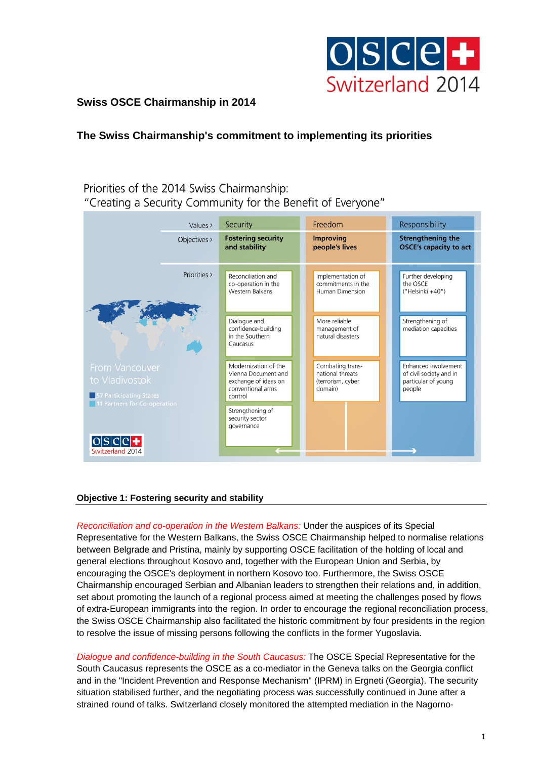

## **Swiss OSCE Chairmanship in 2014**

# **The Swiss Chairmanship's commitment to implementing its priorities**

### Priorities of the 2014 Swiss Chairmanship: "Creating a Security Community for the Benefit of Everyone"

| Values >                                                                                    | Security                                                                                            | Freedom                                                              | Responsibility                                                                   |
|---------------------------------------------------------------------------------------------|-----------------------------------------------------------------------------------------------------|----------------------------------------------------------------------|----------------------------------------------------------------------------------|
| Objectives >                                                                                | <b>Fostering security</b><br>and stability                                                          | <b>Improving</b><br>people's lives                                   | <b>Strengthening the</b><br><b>OSCE's capacity to act</b>                        |
| Priorities >                                                                                | Reconciliation and<br>co-operation in the<br><b>Western Balkans</b>                                 | Implementation of<br>commitments in the<br><b>Human Dimension</b>    | Further developing<br>the OSCE<br>("Helsinki +40")                               |
|                                                                                             | Dialogue and<br>confidence-building<br>in the Southern<br>Caucasus                                  | More reliable<br>management of<br>natural disasters                  | Strengthening of<br>mediation capacities                                         |
| From Vancouver<br>to Vladivostok<br>57 Participating States<br>11 Partners for Co-operation | Modernization of the<br>Vienna Document and<br>exchange of ideas on<br>conventional arms<br>control | Combating trans-<br>national threats<br>(terrorism, cyber<br>domain) | Enhanced involvement<br>of civil society and in<br>particular of young<br>people |
| $O S C e +$                                                                                 | Strengthening of<br>security sector<br>governance                                                   |                                                                      |                                                                                  |
| Switzerland 2014                                                                            |                                                                                                     |                                                                      |                                                                                  |

#### **Objective 1: Fostering security and stability**

*Reconciliation and co-operation in the Western Balkans:* Under the auspices of its Special Representative for the Western Balkans, the Swiss OSCE Chairmanship helped to normalise relations between Belgrade and Pristina, mainly by supporting OSCE facilitation of the holding of local and general elections throughout Kosovo and, together with the European Union and Serbia, by encouraging the OSCE's deployment in northern Kosovo too. Furthermore, the Swiss OSCE Chairmanship encouraged Serbian and Albanian leaders to strengthen their relations and, in addition, set about promoting the launch of a regional process aimed at meeting the challenges posed by flows of extra-European immigrants into the region. In order to encourage the regional reconciliation process, the Swiss OSCE Chairmanship also facilitated the historic commitment by four presidents in the region to resolve the issue of missing persons following the conflicts in the former Yugoslavia.

*Dialogue and confidence-building in the South Caucasus:* The OSCE Special Representative for the South Caucasus represents the OSCE as a co-mediator in the Geneva talks on the Georgia conflict and in the "Incident Prevention and Response Mechanism" (IPRM) in Ergneti (Georgia). The security situation stabilised further, and the negotiating process was successfully continued in June after a strained round of talks. Switzerland closely monitored the attempted mediation in the Nagorno-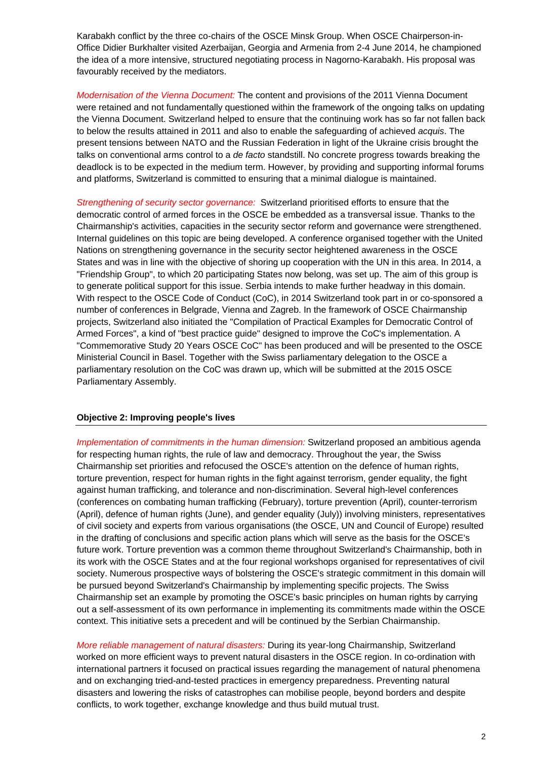Karabakh conflict by the three co-chairs of the OSCE Minsk Group. When OSCE Chairperson-in-Office Didier Burkhalter visited Azerbaijan, Georgia and Armenia from 2-4 June 2014, he championed the idea of a more intensive, structured negotiating process in Nagorno-Karabakh. His proposal was favourably received by the mediators.

*Modernisation of the Vienna Document:* The content and provisions of the 2011 Vienna Document were retained and not fundamentally questioned within the framework of the ongoing talks on updating the Vienna Document. Switzerland helped to ensure that the continuing work has so far not fallen back to below the results attained in 2011 and also to enable the safeguarding of achieved *acquis*. The present tensions between NATO and the Russian Federation in light of the Ukraine crisis brought the talks on conventional arms control to a *de facto* standstill. No concrete progress towards breaking the deadlock is to be expected in the medium term. However, by providing and supporting informal forums and platforms, Switzerland is committed to ensuring that a minimal dialogue is maintained.

*Strengthening of security sector governance:* Switzerland prioritised efforts to ensure that the democratic control of armed forces in the OSCE be embedded as a transversal issue. Thanks to the Chairmanship's activities, capacities in the security sector reform and governance were strengthened. Internal guidelines on this topic are being developed. A conference organised together with the United Nations on strengthening governance in the security sector heightened awareness in the OSCE States and was in line with the objective of shoring up cooperation with the UN in this area. In 2014, a "Friendship Group", to which 20 participating States now belong, was set up. The aim of this group is to generate political support for this issue. Serbia intends to make further headway in this domain. With respect to the OSCE Code of Conduct (CoC), in 2014 Switzerland took part in or co-sponsored a number of conferences in Belgrade, Vienna and Zagreb. In the framework of OSCE Chairmanship projects, Switzerland also initiated the "Compilation of Practical Examples for Democratic Control of Armed Forces", a kind of "best practice guide" designed to improve the CoC's implementation. A "Commemorative Study 20 Years OSCE CoC" has been produced and will be presented to the OSCE Ministerial Council in Basel. Together with the Swiss parliamentary delegation to the OSCE a parliamentary resolution on the CoC was drawn up, which will be submitted at the 2015 OSCE Parliamentary Assembly.

#### **Objective 2: Improving people's lives**

*Implementation of commitments in the human dimension:* Switzerland proposed an ambitious agenda for respecting human rights, the rule of law and democracy. Throughout the year, the Swiss Chairmanship set priorities and refocused the OSCE's attention on the defence of human rights, torture prevention, respect for human rights in the fight against terrorism, gender equality, the fight against human trafficking, and tolerance and non-discrimination. Several high-level conferences (conferences on combating human trafficking (February), torture prevention (April), counter-terrorism (April), defence of human rights (June), and gender equality (July)) involving ministers, representatives of civil society and experts from various organisations (the OSCE, UN and Council of Europe) resulted in the drafting of conclusions and specific action plans which will serve as the basis for the OSCE's future work. Torture prevention was a common theme throughout Switzerland's Chairmanship, both in its work with the OSCE States and at the four regional workshops organised for representatives of civil society. Numerous prospective ways of bolstering the OSCE's strategic commitment in this domain will be pursued beyond Switzerland's Chairmanship by implementing specific projects. The Swiss Chairmanship set an example by promoting the OSCE's basic principles on human rights by carrying out a self-assessment of its own performance in implementing its commitments made within the OSCE context. This initiative sets a precedent and will be continued by the Serbian Chairmanship.

*More reliable management of natural disasters:* During its year-long Chairmanship, Switzerland worked on more efficient ways to prevent natural disasters in the OSCE region. In co-ordination with international partners it focused on practical issues regarding the management of natural phenomena and on exchanging tried-and-tested practices in emergency preparedness. Preventing natural disasters and lowering the risks of catastrophes can mobilise people, beyond borders and despite conflicts, to work together, exchange knowledge and thus build mutual trust.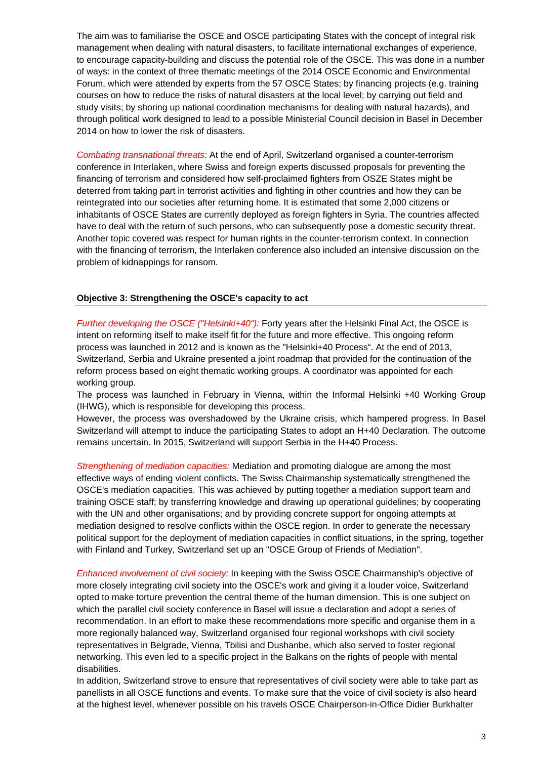The aim was to familiarise the OSCE and OSCE participating States with the concept of integral risk management when dealing with natural disasters, to facilitate international exchanges of experience, to encourage capacity-building and discuss the potential role of the OSCE. This was done in a number of ways: in the context of three thematic meetings of the 2014 OSCE Economic and Environmental Forum, which were attended by experts from the 57 OSCE States; by financing projects (e.g. training courses on how to reduce the risks of natural disasters at the local level; by carrying out field and study visits; by shoring up national coordination mechanisms for dealing with natural hazards), and through political work designed to lead to a possible Ministerial Council decision in Basel in December 2014 on how to lower the risk of disasters.

*Combating transnational threats:* At the end of April, Switzerland organised a counter-terrorism conference in Interlaken, where Swiss and foreign experts discussed proposals for preventing the financing of terrorism and considered how self-proclaimed fighters from OSZE States might be deterred from taking part in terrorist activities and fighting in other countries and how they can be reintegrated into our societies after returning home. It is estimated that some 2,000 citizens or inhabitants of OSCE States are currently deployed as foreign fighters in Syria. The countries affected have to deal with the return of such persons, who can subsequently pose a domestic security threat. Another topic covered was respect for human rights in the counter-terrorism context. In connection with the financing of terrorism, the Interlaken conference also included an intensive discussion on the problem of kidnappings for ransom.

#### **Objective 3: Strengthening the OSCE's capacity to act**

*Further developing the OSCE ("Helsinki+40"):* Forty years after the Helsinki Final Act, the OSCE is intent on reforming itself to make itself fit for the future and more effective. This ongoing reform process was launched in 2012 and is known as the "Helsinki+40 Process". At the end of 2013, Switzerland, Serbia and Ukraine presented a joint roadmap that provided for the continuation of the reform process based on eight thematic working groups. A coordinator was appointed for each working group.

The process was launched in February in Vienna, within the Informal Helsinki +40 Working Group (IHWG), which is responsible for developing this process.

However, the process was overshadowed by the Ukraine crisis, which hampered progress. In Basel Switzerland will attempt to induce the participating States to adopt an H+40 Declaration. The outcome remains uncertain. In 2015, Switzerland will support Serbia in the H+40 Process.

*Strengthening of mediation capacities:* Mediation and promoting dialogue are among the most effective ways of ending violent conflicts. The Swiss Chairmanship systematically strengthened the OSCE's mediation capacities. This was achieved by putting together a mediation support team and training OSCE staff; by transferring knowledge and drawing up operational guidelines; by cooperating with the UN and other organisations; and by providing concrete support for ongoing attempts at mediation designed to resolve conflicts within the OSCE region. In order to generate the necessary political support for the deployment of mediation capacities in conflict situations, in the spring, together with Finland and Turkey, Switzerland set up an "OSCE Group of Friends of Mediation".

*Enhanced involvement of civil society:* In keeping with the Swiss OSCE Chairmanship's objective of more closely integrating civil society into the OSCE's work and giving it a louder voice, Switzerland opted to make torture prevention the central theme of the human dimension. This is one subject on which the parallel civil society conference in Basel will issue a declaration and adopt a series of recommendation. In an effort to make these recommendations more specific and organise them in a more regionally balanced way, Switzerland organised four regional workshops with civil society representatives in Belgrade, Vienna, Tbilisi and Dushanbe, which also served to foster regional networking. This even led to a specific project in the Balkans on the rights of people with mental disabilities.

In addition, Switzerland strove to ensure that representatives of civil society were able to take part as panellists in all OSCE functions and events. To make sure that the voice of civil society is also heard at the highest level, whenever possible on his travels OSCE Chairperson-in-Office Didier Burkhalter